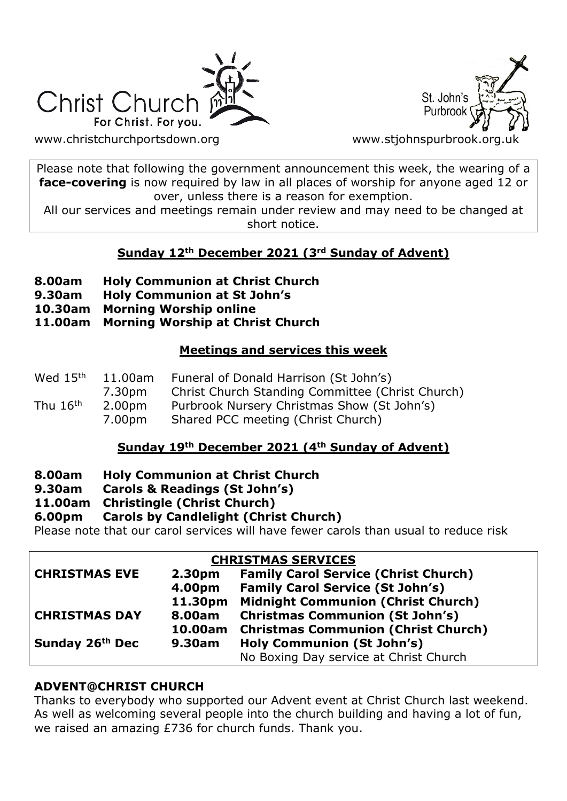



[www.christchurchportsdown.org](http://www.christchurchportsdown.org/) www.stjohnspurbrook.org

Please note that following the government announcement this week, the wearing of a **face-covering** is now required by law in all places of worship for anyone aged 12 or over, unless there is a reason for exemption.

All our services and meetings remain under review and may need to be changed at short notice.

## **Sunday 12th December 2021 (3rd Sunday of Advent)**

- **8.00am Holy Communion at Christ Church**
- **9.30am Holy Communion at St John's**
- **10.30am Morning Worship online**
- **11.00am Morning Worship at Christ Church**

## **Meetings and services this week**

| Wed 15 <sup>th</sup><br>11.00am |                    | Funeral of Donald Harrison (St John's)           |
|---------------------------------|--------------------|--------------------------------------------------|
|                                 | 7.30pm             | Christ Church Standing Committee (Christ Church) |
| Thu $16th$                      | 2.00 <sub>pm</sub> | Purbrook Nursery Christmas Show (St John's)      |
|                                 | 7.00pm             | Shared PCC meeting (Christ Church)               |

#### **Sunday 19th December 2021 (4th Sunday of Advent)**

- **8.00am Holy Communion at Christ Church**
- **9.30am Carols & Readings (St John's)**
- **11.00am Christingle (Christ Church)**

## **6.00pm Carols by Candlelight (Christ Church)**

Please note that our carol services will have fewer carols than usual to reduce risk

#### **CHRISTMAS SERVICES**

| UNIVID N'IAS SERVICES |         |                                             |  |  |  |
|-----------------------|---------|---------------------------------------------|--|--|--|
| <b>CHRISTMAS EVE</b>  | 2.30pm  | <b>Family Carol Service (Christ Church)</b> |  |  |  |
|                       | 4.00pm  | <b>Family Carol Service (St John's)</b>     |  |  |  |
|                       | 11.30pm | <b>Midnight Communion (Christ Church)</b>   |  |  |  |
| <b>CHRISTMAS DAY</b>  | 8.00am  | <b>Christmas Communion (St John's)</b>      |  |  |  |
|                       | 10.00am | <b>Christmas Communion (Christ Church)</b>  |  |  |  |
| Sunday 26th Dec       | 9.30am  | <b>Holy Communion (St John's)</b>           |  |  |  |
|                       |         | No Boxing Day service at Christ Church      |  |  |  |
|                       |         |                                             |  |  |  |

#### **ADVENT@CHRIST CHURCH**

Thanks to everybody who supported our Advent event at Christ Church last weekend. As well as welcoming several people into the church building and having a lot of fun, we raised an amazing £736 for church funds. Thank you.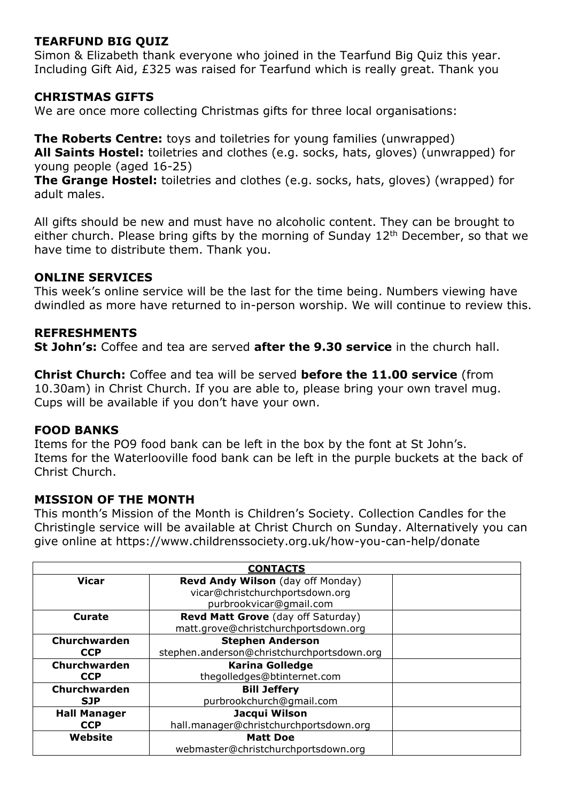## **TEARFUND BIG QUIZ**

Simon & Elizabeth thank everyone who joined in the Tearfund Big Quiz this year. Including Gift Aid, £325 was raised for Tearfund which is really great. Thank you

## **CHRISTMAS GIFTS**

We are once more collecting Christmas gifts for three local organisations:

**The Roberts Centre:** toys and toiletries for young families (unwrapped) **All Saints Hostel:** toiletries and clothes (e.g. socks, hats, gloves) (unwrapped) for young people (aged 16-25)

**The Grange Hostel:** toiletries and clothes (e.g. socks, hats, gloves) (wrapped) for adult males.

All gifts should be new and must have no alcoholic content. They can be brought to either church. Please bring gifts by the morning of Sunday  $12<sup>th</sup>$  December, so that we have time to distribute them. Thank you.

## **ONLINE SERVICES**

This week's online service will be the last for the time being. Numbers viewing have dwindled as more have returned to in-person worship. We will continue to review this.

## **REFRESHMENTS**

**St John's:** Coffee and tea are served **after the 9.30 service** in the church hall.

**Christ Church:** Coffee and tea will be served **before the 11.00 service** (from 10.30am) in Christ Church. If you are able to, please bring your own travel mug. Cups will be available if you don't have your own.

#### **FOOD BANKS**

Items for the PO9 food bank can be left in the box by the font at St John's. Items for the Waterlooville food bank can be left in the purple buckets at the back of Christ Church.

#### **MISSION OF THE MONTH**

This month's Mission of the Month is Children's Society. Collection Candles for the Christingle service will be available at Christ Church on Sunday. Alternatively you can give online at https://www.childrenssociety.org.uk/how-you-can-help/donate

| <b>CONTACTS</b>     |                                            |  |  |  |
|---------------------|--------------------------------------------|--|--|--|
| <b>Vicar</b>        | Revd Andy Wilson (day off Monday)          |  |  |  |
|                     | vicar@christchurchportsdown.org            |  |  |  |
|                     | purbrookvicar@gmail.com                    |  |  |  |
| Curate              | Revd Matt Grove (day off Saturday)         |  |  |  |
|                     | matt.grove@christchurchportsdown.org       |  |  |  |
| Churchwarden        | <b>Stephen Anderson</b>                    |  |  |  |
| <b>CCP</b>          | stephen.anderson@christchurchportsdown.org |  |  |  |
| Churchwarden        | <b>Karina Golledge</b>                     |  |  |  |
| <b>CCP</b>          | thegolledges@btinternet.com                |  |  |  |
| Churchwarden        | <b>Bill Jeffery</b>                        |  |  |  |
| <b>SJP</b>          | purbrookchurch@gmail.com                   |  |  |  |
| <b>Hall Manager</b> | Jacqui Wilson                              |  |  |  |
| <b>CCP</b>          | hall.manager@christchurchportsdown.org     |  |  |  |
| Website             | <b>Matt Doe</b>                            |  |  |  |
|                     | webmaster@christchurchportsdown.org        |  |  |  |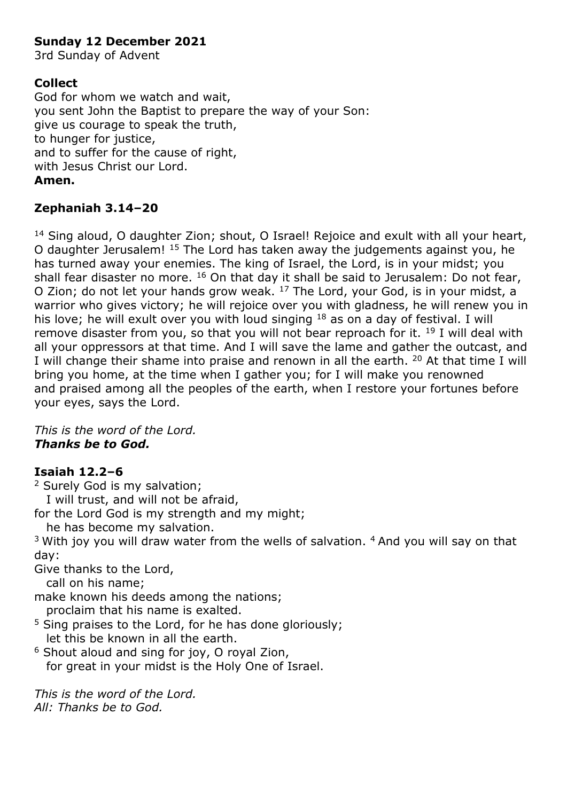## **Sunday 12 December 2021**

3rd Sunday of Advent

## **Collect**

God for whom we watch and wait, you sent John the Baptist to prepare the way of your Son: give us courage to speak the truth, to hunger for justice, and to suffer for the cause of right, with Jesus Christ our Lord. **Amen.**

# **Zephaniah 3.14–20**

<sup>14</sup> Sing aloud, O daughter Zion; shout, O Israel! Rejoice and exult with all your heart, O daughter Jerusalem! <sup>15</sup> The Lord has taken away the judgements against you, he has turned away your enemies. The king of Israel, the Lord, is in your midst; you shall fear disaster no more. <sup>16</sup> On that day it shall be said to Jerusalem: Do not fear, O Zion; do not let your hands grow weak. <sup>17</sup> The Lord, your God, is in your midst, a warrior who gives victory; he will rejoice over you with gladness, he will renew you in his love; he will exult over you with loud singing <sup>18</sup> as on a day of festival. I will remove disaster from you, so that you will not bear reproach for it. <sup>19</sup> I will deal with all your oppressors at that time. And I will save the lame and gather the outcast, and I will change their shame into praise and renown in all the earth. <sup>20</sup> At that time I will bring you home, at the time when I gather you; for I will make you renowned and praised among all the peoples of the earth, when I restore your fortunes before your eyes, says the Lord.

*This is the word of the Lord. Thanks be to God.*

## **Isaiah 12.2–6**

<sup>2</sup> Surely God is my salvation; I will trust, and will not be afraid,

for the Lord God is my strength and my might;

he has become my salvation.

 $3$  With joy you will draw water from the wells of salvation.  $4$  And you will say on that day:

Give thanks to the Lord,

call on his name;

make known his deeds among the nations;

proclaim that his name is exalted.

 $5$  Sing praises to the Lord, for he has done gloriously; let this be known in all the earth.

<sup>6</sup> Shout aloud and sing for joy, O royal Zion, for great in your midst is the Holy One of Israel.

*This is the word of the Lord. All: Thanks be to God.*